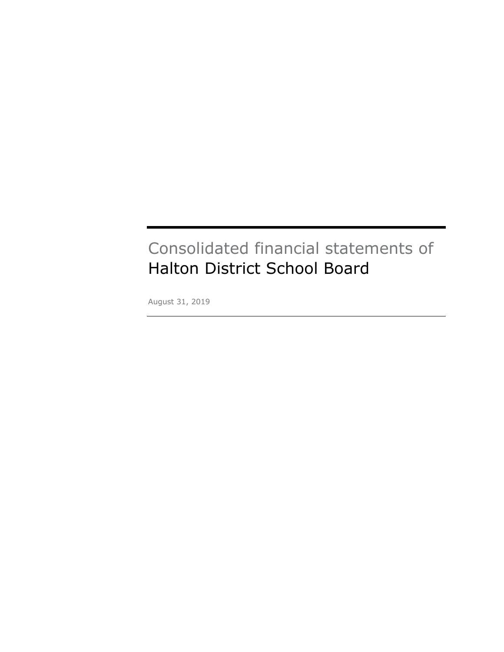# Consolidated financial statements of Halton District School Board

August 31, 2019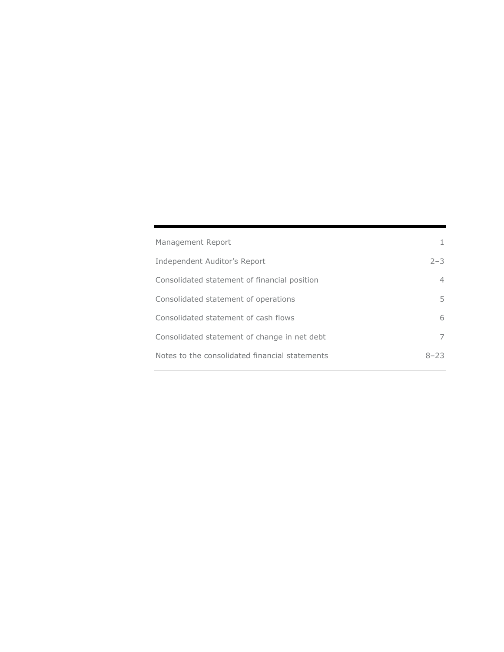| Management Report                              |          |
|------------------------------------------------|----------|
| Independent Auditor's Report                   | $2 - 3$  |
| Consolidated statement of financial position   | 4        |
| Consolidated statement of operations           | 5        |
| Consolidated statement of cash flows           | 6        |
| Consolidated statement of change in net debt   | 7        |
| Notes to the consolidated financial statements | $8 - 23$ |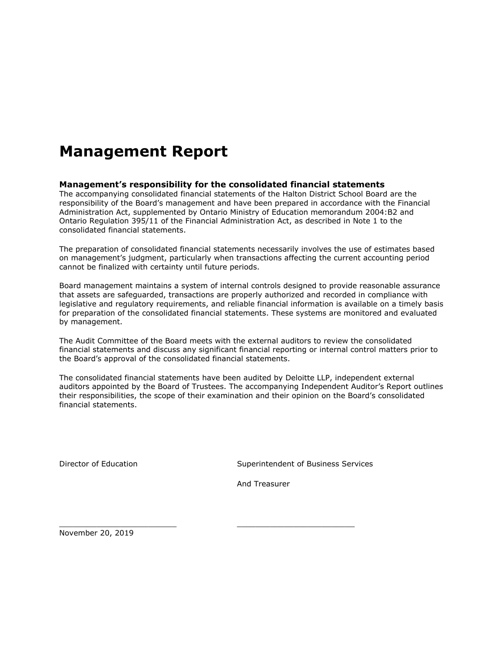# **Management Report**

#### **Management's responsibility for the consolidated financial statements**

The accompanying consolidated financial statements of the Halton District School Board are the responsibility of the Board's management and have been prepared in accordance with the Financial Administration Act, supplemented by Ontario Ministry of Education memorandum 2004:B2 and Ontario Regulation 395/11 of the Financial Administration Act, as described in Note 1 to the consolidated financial statements.

The preparation of consolidated financial statements necessarily involves the use of estimates based on management's judgment, particularly when transactions affecting the current accounting period cannot be finalized with certainty until future periods.

Board management maintains a system of internal controls designed to provide reasonable assurance that assets are safeguarded, transactions are properly authorized and recorded in compliance with legislative and regulatory requirements, and reliable financial information is available on a timely basis for preparation of the consolidated financial statements. These systems are monitored and evaluated by management.

The Audit Committee of the Board meets with the external auditors to review the consolidated financial statements and discuss any significant financial reporting or internal control matters prior to the Board's approval of the consolidated financial statements.

The consolidated financial statements have been audited by Deloitte LLP, independent external auditors appointed by the Board of Trustees. The accompanying Independent Auditor's Report outlines their responsibilities, the scope of their examination and their opinion on the Board's consolidated financial statements.

Director of Education **Superintendent of Business Services** Services

And Treasurer

 $\overline{\phantom{a}}$  , and the contribution of the contribution of  $\overline{\phantom{a}}$  , and the contribution of  $\overline{\phantom{a}}$ 

November 20, 2019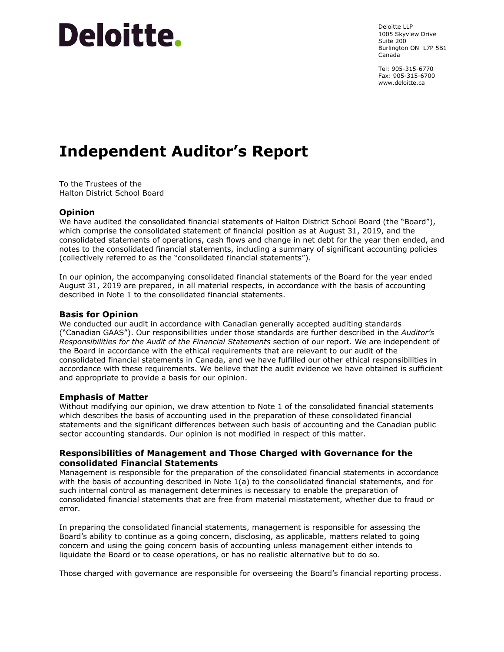# Deloitte.

Deloitte LLP 1005 Skyview Drive Suite 200 Burlington ON L7P 5B1 Canada

Tel: 905-315-6770 Fax: 905-315-6700 www.deloitte.ca

# **Independent Auditor's Report**

To the Trustees of the Halton District School Board

# **Opinion**

We have audited the consolidated financial statements of Halton District School Board (the "Board"), which comprise the consolidated statement of financial position as at August 31, 2019, and the consolidated statements of operations, cash flows and change in net debt for the year then ended, and notes to the consolidated financial statements, including a summary of significant accounting policies (collectively referred to as the "consolidated financial statements").

In our opinion, the accompanying consolidated financial statements of the Board for the year ended August 31, 2019 are prepared, in all material respects, in accordance with the basis of accounting described in Note 1 to the consolidated financial statements.

# **Basis for Opinion**

We conducted our audit in accordance with Canadian generally accepted auditing standards ("Canadian GAAS"). Our responsibilities under those standards are further described in the *Auditor's Responsibilities for the Audit of the Financial Statements* section of our report. We are independent of the Board in accordance with the ethical requirements that are relevant to our audit of the consolidated financial statements in Canada, and we have fulfilled our other ethical responsibilities in accordance with these requirements. We believe that the audit evidence we have obtained is sufficient and appropriate to provide a basis for our opinion.

#### **Emphasis of Matter**

Without modifying our opinion, we draw attention to Note 1 of the consolidated financial statements which describes the basis of accounting used in the preparation of these consolidated financial statements and the significant differences between such basis of accounting and the Canadian public sector accounting standards. Our opinion is not modified in respect of this matter.

# **Responsibilities of Management and Those Charged with Governance for the consolidated Financial Statements**

Management is responsible for the preparation of the consolidated financial statements in accordance with the basis of accounting described in Note 1(a) to the consolidated financial statements, and for such internal control as management determines is necessary to enable the preparation of consolidated financial statements that are free from material misstatement, whether due to fraud or error.

In preparing the consolidated financial statements, management is responsible for assessing the Board's ability to continue as a going concern, disclosing, as applicable, matters related to going concern and using the going concern basis of accounting unless management either intends to liquidate the Board or to cease operations, or has no realistic alternative but to do so.

Those charged with governance are responsible for overseeing the Board's financial reporting process.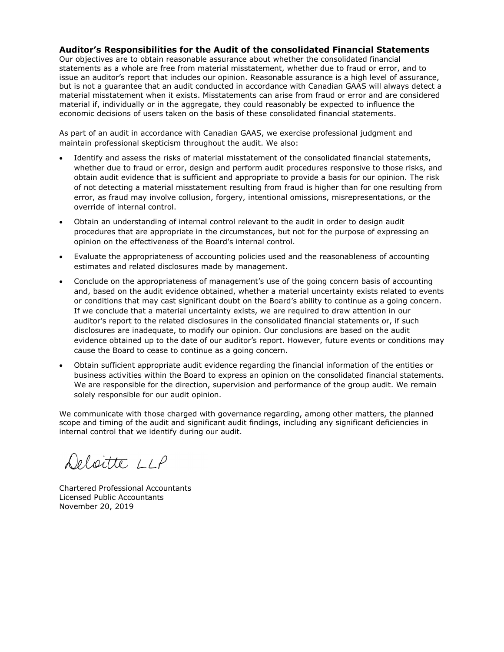## **Auditor's Responsibilities for the Audit of the consolidated Financial Statements**

Our objectives are to obtain reasonable assurance about whether the consolidated financial statements as a whole are free from material misstatement, whether due to fraud or error, and to issue an auditor's report that includes our opinion. Reasonable assurance is a high level of assurance, but is not a guarantee that an audit conducted in accordance with Canadian GAAS will always detect a material misstatement when it exists. Misstatements can arise from fraud or error and are considered material if, individually or in the aggregate, they could reasonably be expected to influence the economic decisions of users taken on the basis of these consolidated financial statements.

As part of an audit in accordance with Canadian GAAS, we exercise professional judgment and maintain professional skepticism throughout the audit. We also:

- Identify and assess the risks of material misstatement of the consolidated financial statements, whether due to fraud or error, design and perform audit procedures responsive to those risks, and obtain audit evidence that is sufficient and appropriate to provide a basis for our opinion. The risk of not detecting a material misstatement resulting from fraud is higher than for one resulting from error, as fraud may involve collusion, forgery, intentional omissions, misrepresentations, or the override of internal control.
- Obtain an understanding of internal control relevant to the audit in order to design audit procedures that are appropriate in the circumstances, but not for the purpose of expressing an opinion on the effectiveness of the Board's internal control.
- Evaluate the appropriateness of accounting policies used and the reasonableness of accounting estimates and related disclosures made by management.
- Conclude on the appropriateness of management's use of the going concern basis of accounting and, based on the audit evidence obtained, whether a material uncertainty exists related to events or conditions that may cast significant doubt on the Board's ability to continue as a going concern. If we conclude that a material uncertainty exists, we are required to draw attention in our auditor's report to the related disclosures in the consolidated financial statements or, if such disclosures are inadequate, to modify our opinion. Our conclusions are based on the audit evidence obtained up to the date of our auditor's report. However, future events or conditions may cause the Board to cease to continue as a going concern.
- Obtain sufficient appropriate audit evidence regarding the financial information of the entities or business activities within the Board to express an opinion on the consolidated financial statements. We are responsible for the direction, supervision and performance of the group audit. We remain solely responsible for our audit opinion.

We communicate with those charged with governance regarding, among other matters, the planned scope and timing of the audit and significant audit findings, including any significant deficiencies in internal control that we identify during our audit.

Deloitte LLP

Chartered Professional Accountants Licensed Public Accountants November 20, 2019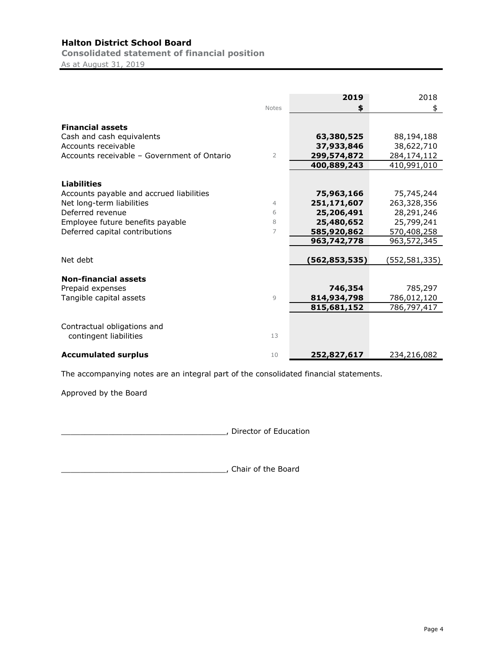**Consolidated statement of financial position**

As at August 31, 2019

|                                                       |                | 2019                     | 2018                     |
|-------------------------------------------------------|----------------|--------------------------|--------------------------|
|                                                       | <b>Notes</b>   | \$                       | \$                       |
|                                                       |                |                          |                          |
| <b>Financial assets</b>                               |                |                          |                          |
| Cash and cash equivalents<br>Accounts receivable      |                | 63,380,525<br>37,933,846 | 88,194,188<br>38,622,710 |
| Accounts receivable - Government of Ontario           | $\overline{2}$ | 299,574,872              | 284,174,112              |
|                                                       |                | 400,889,243              | 410,991,010              |
|                                                       |                |                          |                          |
| <b>Liabilities</b>                                    |                |                          |                          |
| Accounts payable and accrued liabilities              |                | 75,963,166               | 75,745,244               |
| Net long-term liabilities                             | $\overline{4}$ | 251,171,607              | 263,328,356              |
| Deferred revenue                                      | 6              | 25,206,491               | 28,291,246               |
| Employee future benefits payable                      | 8              | 25,480,652               | 25,799,241               |
| Deferred capital contributions                        | 7              | 585,920,862              | 570,408,258              |
|                                                       |                | 963,742,778              | 963,572,345              |
|                                                       |                |                          |                          |
| Net debt                                              |                | (562,853,535)            | (552,581,335)            |
|                                                       |                |                          |                          |
| <b>Non-financial assets</b>                           |                |                          |                          |
| Prepaid expenses                                      |                | 746,354                  | 785,297                  |
| Tangible capital assets                               | 9              | 814,934,798              | 786,012,120              |
|                                                       |                | 815,681,152              | 786,797,417              |
|                                                       |                |                          |                          |
| Contractual obligations and<br>contingent liabilities | 13             |                          |                          |
|                                                       |                |                          |                          |
| <b>Accumulated surplus</b>                            | 10             | 252,827,617              | 234,216,082              |

The accompanying notes are an integral part of the consolidated financial statements.

Approved by the Board

\_\_\_\_\_\_\_\_\_\_\_\_\_\_\_\_\_\_\_\_\_\_\_\_\_\_\_\_\_\_\_\_\_\_\_, Director of Education

\_\_\_\_\_\_\_\_\_\_\_\_\_\_\_\_\_\_\_\_\_\_\_\_\_\_\_\_\_\_\_\_\_\_\_, Chair of the Board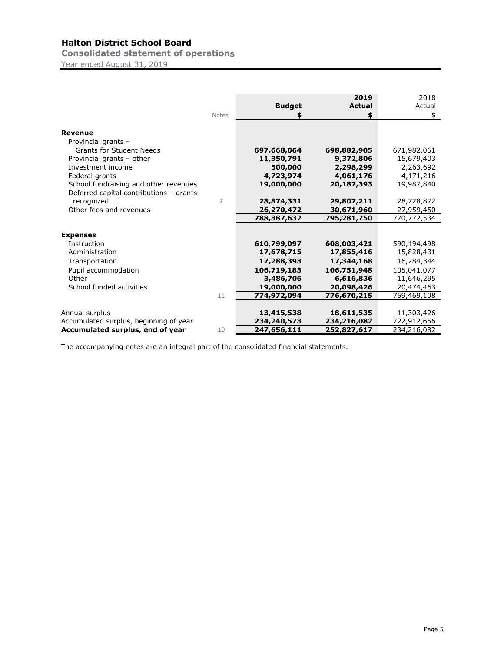**Consolidated statement of operations**

Year ended August 31, 2019

|                                                        | <b>Notes</b> | <b>Budget</b>            | 2019<br><b>Actual</b><br>\$ | 2018<br>Actual<br>\$      |
|--------------------------------------------------------|--------------|--------------------------|-----------------------------|---------------------------|
| Revenue                                                |              |                          |                             |                           |
| Provincial grants -<br><b>Grants for Student Needs</b> |              | 697,668,064              | 698,882,905                 | 671,982,061               |
| Provincial grants - other                              |              | 11,350,791               | 9,372,806                   | 15,679,403                |
| Investment income                                      |              | 500,000                  | 2,298,299                   | 2,263,692                 |
| Federal grants                                         |              | 4,723,974                | 4,061,176                   | 4,171,216                 |
| School fundraising and other revenues                  |              | 19,000,000               | 20,187,393                  | 19,987,840                |
| Deferred capital contributions - grants                |              |                          |                             |                           |
| recognized<br>Other fees and revenues                  | 7            | 28,874,331<br>26,270,472 | 29,807,211<br>30,671,960    | 28,728,872<br>27,959,450  |
|                                                        |              | 788,387,632              | 795,281,750                 | <u>770,772,534</u>        |
|                                                        |              |                          |                             |                           |
| <b>Expenses</b>                                        |              |                          |                             |                           |
| Instruction                                            |              | 610,799,097              | 608,003,421                 | 590,194,498               |
| Administration                                         |              | 17,678,715               | 17,855,416                  | 15,828,431                |
| Transportation                                         |              | 17,288,393               | 17,344,168                  | 16,284,344                |
| Pupil accommodation<br>Other                           |              | 106,719,183<br>3,486,706 | 106,751,948<br>6,616,836    | 105,041,077<br>11,646,295 |
| School funded activities                               |              | 19,000,000               | 20,098,426                  | 20,474,463                |
|                                                        | 11           | 774,972,094              | 776,670,215                 | 759,469,108               |
|                                                        |              |                          |                             |                           |
| Annual surplus                                         |              | 13,415,538               | 18,611,535                  | 11,303,426                |
| Accumulated surplus, beginning of year                 |              | 234,240,573              | 234,216,082                 | 222,912,656               |
| Accumulated surplus, end of year                       | 10           | 247,656,111              | 252,827,617                 | 234,216,082               |

The accompanying notes are an integral part of the consolidated financial statements.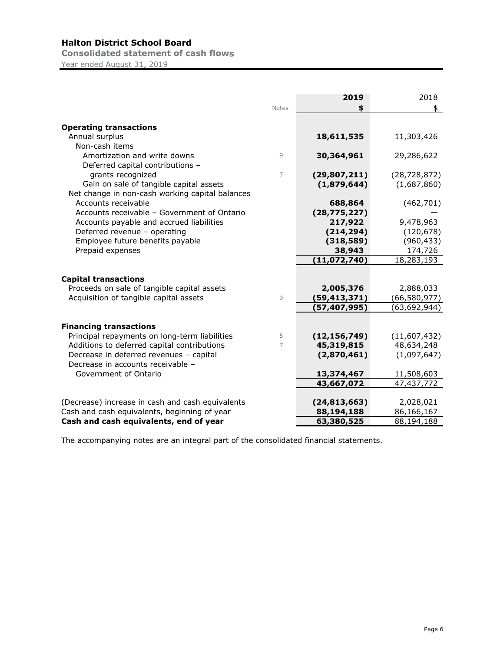**Consolidated statement of cash flows**

Year ended August 31, 2019

|                                                              |              | 2019                          | 2018                          |
|--------------------------------------------------------------|--------------|-------------------------------|-------------------------------|
|                                                              | <b>Notes</b> | \$                            | \$                            |
|                                                              |              |                               |                               |
| <b>Operating transactions</b>                                |              |                               |                               |
| Annual surplus                                               |              | 18,611,535                    | 11,303,426                    |
| Non-cash items<br>Amortization and write downs               | 9            | 30,364,961                    |                               |
|                                                              |              |                               | 29,286,622                    |
| Deferred capital contributions -                             | 7            |                               |                               |
| grants recognized<br>Gain on sale of tangible capital assets |              | (29, 807, 211)<br>(1,879,644) | (28, 728, 872)<br>(1,687,860) |
| Net change in non-cash working capital balances              |              |                               |                               |
| Accounts receivable                                          |              | 688,864                       | (462, 701)                    |
| Accounts receivable - Government of Ontario                  |              | (28, 775, 227)                |                               |
| Accounts payable and accrued liabilities                     |              | 217,922                       | 9,478,963                     |
| Deferred revenue - operating                                 |              | (214, 294)                    | (120, 678)                    |
| Employee future benefits payable                             |              | (318,589)                     | (960, 433)                    |
| Prepaid expenses                                             |              | 38,943                        | 174,726                       |
|                                                              |              | (11,072,740)                  | 18,283,193                    |
|                                                              |              |                               |                               |
| <b>Capital transactions</b>                                  |              |                               |                               |
| Proceeds on sale of tangible capital assets                  |              | 2,005,376                     | 2,888,033                     |
| Acquisition of tangible capital assets                       | 9            | (59, 413, 371)                | (66,580,977)                  |
|                                                              |              | (57,407,995)                  | (63,692,944)                  |
|                                                              |              |                               |                               |
| <b>Financing transactions</b>                                |              |                               |                               |
| Principal repayments on long-term liabilities                | 5            | (12, 156, 749)                | (11,607,432)                  |
| Additions to deferred capital contributions                  | 7            | 45,319,815                    | 48,634,248                    |
| Decrease in deferred revenues - capital                      |              | (2,870,461)                   | (1,097,647)                   |
| Decrease in accounts receivable -                            |              |                               |                               |
| Government of Ontario                                        |              | 13,374,467                    | 11,508,603                    |
|                                                              |              | 43,667,072                    | 47,437,772                    |
|                                                              |              |                               |                               |
| (Decrease) increase in cash and cash equivalents             |              | (24, 813, 663)                | 2,028,021                     |
| Cash and cash equivalents, beginning of year                 |              | 88,194,188                    | 86,166,167                    |
| Cash and cash equivalents, end of year                       |              | 63,380,525                    | 88,194,188                    |

The accompanying notes are an integral part of the consolidated financial statements.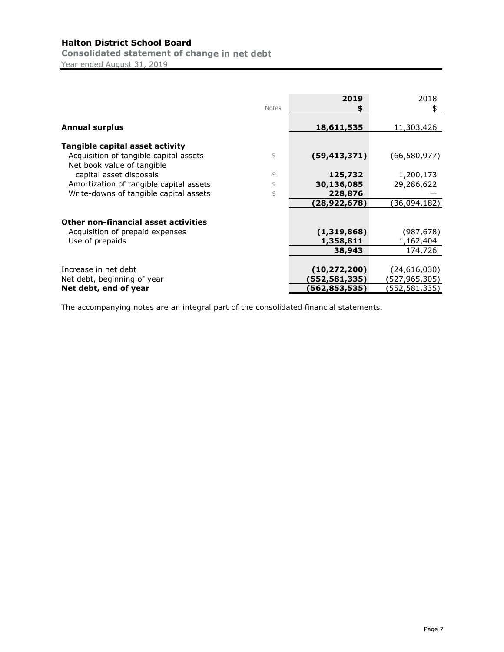**Consolidated statement of change in net debt**

Year ended August 31, 2019

|                                         |              | 2019            | 2018            |
|-----------------------------------------|--------------|-----------------|-----------------|
|                                         | <b>Notes</b> |                 |                 |
|                                         |              |                 |                 |
| <b>Annual surplus</b>                   |              | 18,611,535      | 11,303,426      |
|                                         |              |                 |                 |
| Tangible capital asset activity         |              |                 |                 |
| Acquisition of tangible capital assets  | 9            | (59, 413, 371)  | (66,580,977)    |
| Net book value of tangible              |              |                 |                 |
| capital asset disposals                 | 9            | 125,732         | 1,200,173       |
| Amortization of tangible capital assets | 9            | 30,136,085      | 29,286,622      |
| Write-downs of tangible capital assets  | 9            | 228,876         |                 |
|                                         |              | (28,922,678)    | (36,094,182)    |
|                                         |              |                 |                 |
| Other non-financial asset activities    |              |                 |                 |
| Acquisition of prepaid expenses         |              | (1,319,868)     | (987, 678)      |
| Use of prepaids                         |              | 1,358,811       | 1,162,404       |
|                                         |              | 38,943          | 174,726         |
|                                         |              |                 |                 |
| Increase in net debt                    |              | (10, 272, 200)  | (24, 616, 030)  |
| Net debt, beginning of year             |              | 552,581,335)    | (527,965,305)   |
| Net debt, end of year                   |              | (562, 853, 535) | (552, 581, 335) |

The accompanying notes are an integral part of the consolidated financial statements.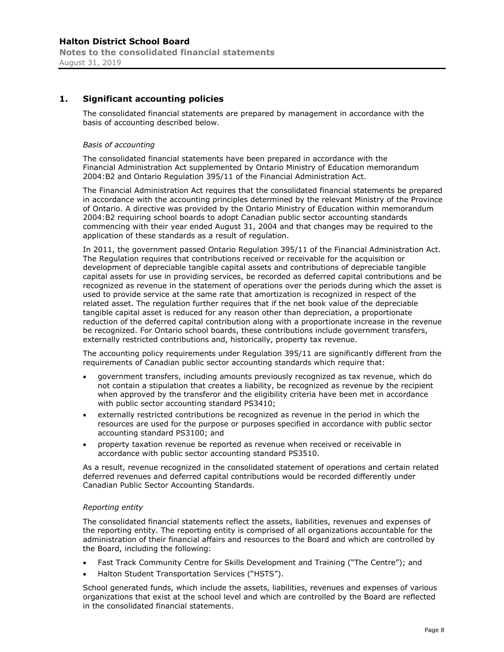# **1. Significant accounting policies**

The consolidated financial statements are prepared by management in accordance with the basis of accounting described below.

#### *Basis of accounting*

The consolidated financial statements have been prepared in accordance with the Financial Administration Act supplemented by Ontario Ministry of Education memorandum 2004:B2 and Ontario Regulation 395/11 of the Financial Administration Act.

The Financial Administration Act requires that the consolidated financial statements be prepared in accordance with the accounting principles determined by the relevant Ministry of the Province of Ontario. A directive was provided by the Ontario Ministry of Education within memorandum 2004:B2 requiring school boards to adopt Canadian public sector accounting standards commencing with their year ended August 31, 2004 and that changes may be required to the application of these standards as a result of regulation.

In 2011, the government passed Ontario Regulation 395/11 of the Financial Administration Act. The Regulation requires that contributions received or receivable for the acquisition or development of depreciable tangible capital assets and contributions of depreciable tangible capital assets for use in providing services, be recorded as deferred capital contributions and be recognized as revenue in the statement of operations over the periods during which the asset is used to provide service at the same rate that amortization is recognized in respect of the related asset. The regulation further requires that if the net book value of the depreciable tangible capital asset is reduced for any reason other than depreciation, a proportionate reduction of the deferred capital contribution along with a proportionate increase in the revenue be recognized. For Ontario school boards, these contributions include government transfers, externally restricted contributions and, historically, property tax revenue.

The accounting policy requirements under Regulation 395/11 are significantly different from the requirements of Canadian public sector accounting standards which require that:

- government transfers, including amounts previously recognized as tax revenue, which do not contain a stipulation that creates a liability, be recognized as revenue by the recipient when approved by the transferor and the eligibility criteria have been met in accordance with public sector accounting standard PS3410;
- externally restricted contributions be recognized as revenue in the period in which the resources are used for the purpose or purposes specified in accordance with public sector accounting standard PS3100; and
- property taxation revenue be reported as revenue when received or receivable in accordance with public sector accounting standard PS3510.

As a result, revenue recognized in the consolidated statement of operations and certain related deferred revenues and deferred capital contributions would be recorded differently under Canadian Public Sector Accounting Standards.

### *Reporting entity*

The consolidated financial statements reflect the assets, liabilities, revenues and expenses of the reporting entity. The reporting entity is comprised of all organizations accountable for the administration of their financial affairs and resources to the Board and which are controlled by the Board, including the following:

- Fast Track Community Centre for Skills Development and Training ("The Centre"); and
- Halton Student Transportation Services ("HSTS").

School generated funds, which include the assets, liabilities, revenues and expenses of various organizations that exist at the school level and which are controlled by the Board are reflected in the consolidated financial statements.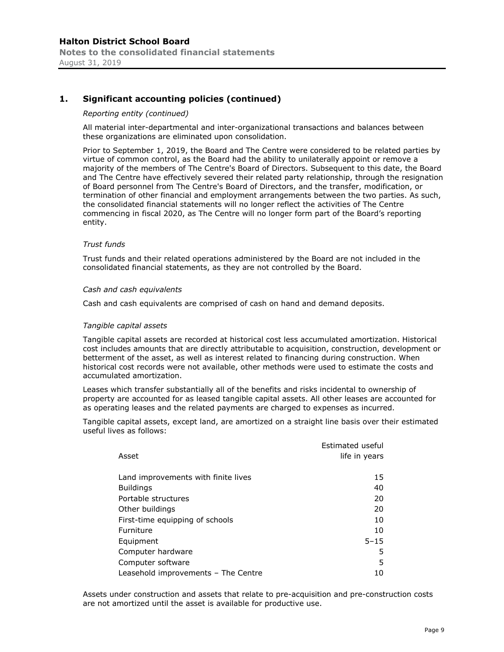#### *Reporting entity (continued)*

All material inter-departmental and inter-organizational transactions and balances between these organizations are eliminated upon consolidation.

Prior to September 1, 2019, the Board and The Centre were considered to be related parties by virtue of common control, as the Board had the ability to unilaterally appoint or remove a majority of the members of The Centre's Board of Directors. Subsequent to this date, the Board and The Centre have effectively severed their related party relationship, through the resignation of Board personnel from The Centre's Board of Directors, and the transfer, modification, or termination of other financial and employment arrangements between the two parties. As such, the consolidated financial statements will no longer reflect the activities of The Centre commencing in fiscal 2020, as The Centre will no longer form part of the Board's reporting entity.

#### *Trust funds*

Trust funds and their related operations administered by the Board are not included in the consolidated financial statements, as they are not controlled by the Board.

#### *Cash and cash equivalents*

Cash and cash equivalents are comprised of cash on hand and demand deposits.

#### *Tangible capital assets*

Tangible capital assets are recorded at historical cost less accumulated amortization. Historical cost includes amounts that are directly attributable to acquisition, construction, development or betterment of the asset, as well as interest related to financing during construction. When historical cost records were not available, other methods were used to estimate the costs and accumulated amortization.

Leases which transfer substantially all of the benefits and risks incidental to ownership of property are accounted for as leased tangible capital assets. All other leases are accounted for as operating leases and the related payments are charged to expenses as incurred.

Tangible capital assets, except land, are amortized on a straight line basis over their estimated useful lives as follows:

|                                     | Estimated useful |
|-------------------------------------|------------------|
| Asset                               | life in years    |
|                                     |                  |
| Land improvements with finite lives | 15               |
| <b>Buildings</b>                    | 40               |
| Portable structures                 | 20               |
| Other buildings                     | 20               |
| First-time equipping of schools     | 10               |
| Furniture                           | 10               |
| Equipment                           | $5 - 15$         |
| Computer hardware                   | 5                |
| Computer software                   | 5                |
| Leasehold improvements - The Centre | 10               |

Assets under construction and assets that relate to pre-acquisition and pre-construction costs are not amortized until the asset is available for productive use.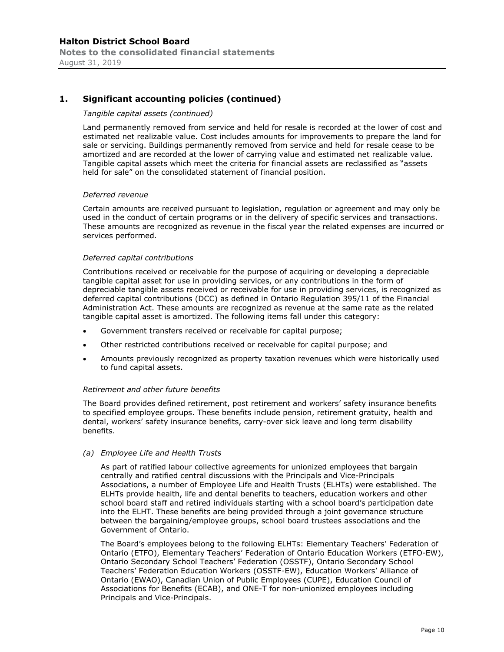#### *Tangible capital assets (continued)*

Land permanently removed from service and held for resale is recorded at the lower of cost and estimated net realizable value. Cost includes amounts for improvements to prepare the land for sale or servicing. Buildings permanently removed from service and held for resale cease to be amortized and are recorded at the lower of carrying value and estimated net realizable value. Tangible capital assets which meet the criteria for financial assets are reclassified as "assets held for sale" on the consolidated statement of financial position.

#### *Deferred revenue*

Certain amounts are received pursuant to legislation, regulation or agreement and may only be used in the conduct of certain programs or in the delivery of specific services and transactions. These amounts are recognized as revenue in the fiscal year the related expenses are incurred or services performed.

#### *Deferred capital contributions*

Contributions received or receivable for the purpose of acquiring or developing a depreciable tangible capital asset for use in providing services, or any contributions in the form of depreciable tangible assets received or receivable for use in providing services, is recognized as deferred capital contributions (DCC) as defined in Ontario Regulation 395/11 of the Financial Administration Act. These amounts are recognized as revenue at the same rate as the related tangible capital asset is amortized. The following items fall under this category:

- Government transfers received or receivable for capital purpose;
- Other restricted contributions received or receivable for capital purpose; and
- Amounts previously recognized as property taxation revenues which were historically used to fund capital assets.

#### *Retirement and other future benefits*

The Board provides defined retirement, post retirement and workers' safety insurance benefits to specified employee groups. These benefits include pension, retirement gratuity, health and dental, workers' safety insurance benefits, carry-over sick leave and long term disability benefits.

#### *(a) Employee Life and Health Trusts*

As part of ratified labour collective agreements for unionized employees that bargain centrally and ratified central discussions with the Principals and Vice-Principals Associations, a number of Employee Life and Health Trusts (ELHTs) were established. The ELHTs provide health, life and dental benefits to teachers, education workers and other school board staff and retired individuals starting with a school board's participation date into the ELHT. These benefits are being provided through a joint governance structure between the bargaining/employee groups, school board trustees associations and the Government of Ontario.

The Board's employees belong to the following ELHTs: Elementary Teachers' Federation of Ontario (ETFO), Elementary Teachers' Federation of Ontario Education Workers (ETFO-EW), Ontario Secondary School Teachers' Federation (OSSTF), Ontario Secondary School Teachers' Federation Education Workers (OSSTF-EW), Education Workers' Alliance of Ontario (EWAO), Canadian Union of Public Employees (CUPE), Education Council of Associations for Benefits (ECAB), and ONE-T for non-unionized employees including Principals and Vice-Principals.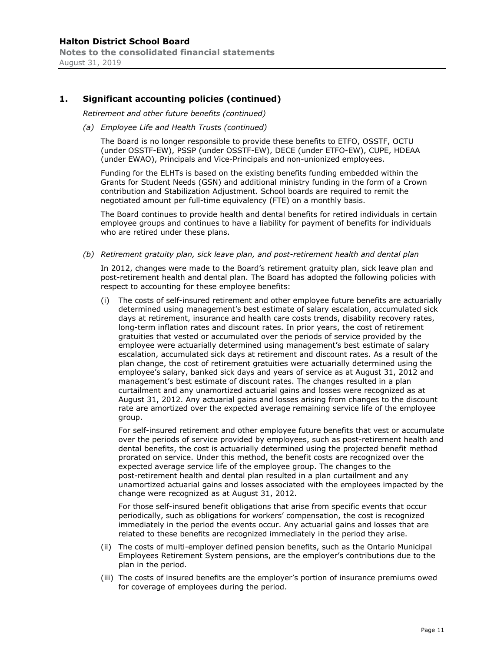*Retirement and other future benefits (continued)* 

#### *(a) Employee Life and Health Trusts (continued)*

The Board is no longer responsible to provide these benefits to ETFO, OSSTF, OCTU (under OSSTF-EW), PSSP (under OSSTF-EW), DECE (under ETFO-EW), CUPE, HDEAA (under EWAO), Principals and Vice-Principals and non-unionized employees.

Funding for the ELHTs is based on the existing benefits funding embedded within the Grants for Student Needs (GSN) and additional ministry funding in the form of a Crown contribution and Stabilization Adjustment. School boards are required to remit the negotiated amount per full-time equivalency (FTE) on a monthly basis.

The Board continues to provide health and dental benefits for retired individuals in certain employee groups and continues to have a liability for payment of benefits for individuals who are retired under these plans.

*(b) Retirement gratuity plan, sick leave plan, and post-retirement health and dental plan* 

In 2012, changes were made to the Board's retirement gratuity plan, sick leave plan and post-retirement health and dental plan. The Board has adopted the following policies with respect to accounting for these employee benefits:

(i) The costs of self-insured retirement and other employee future benefits are actuarially determined using management's best estimate of salary escalation, accumulated sick days at retirement, insurance and health care costs trends, disability recovery rates, long-term inflation rates and discount rates. In prior years, the cost of retirement gratuities that vested or accumulated over the periods of service provided by the employee were actuarially determined using management's best estimate of salary escalation, accumulated sick days at retirement and discount rates. As a result of the plan change, the cost of retirement gratuities were actuarially determined using the employee's salary, banked sick days and years of service as at August 31, 2012 and management's best estimate of discount rates. The changes resulted in a plan curtailment and any unamortized actuarial gains and losses were recognized as at August 31, 2012. Any actuarial gains and losses arising from changes to the discount rate are amortized over the expected average remaining service life of the employee group.

For self-insured retirement and other employee future benefits that vest or accumulate over the periods of service provided by employees, such as post-retirement health and dental benefits, the cost is actuarially determined using the projected benefit method prorated on service. Under this method, the benefit costs are recognized over the expected average service life of the employee group. The changes to the post-retirement health and dental plan resulted in a plan curtailment and any unamortized actuarial gains and losses associated with the employees impacted by the change were recognized as at August 31, 2012.

For those self-insured benefit obligations that arise from specific events that occur periodically, such as obligations for workers' compensation, the cost is recognized immediately in the period the events occur. Any actuarial gains and losses that are related to these benefits are recognized immediately in the period they arise.

- (ii) The costs of multi-employer defined pension benefits, such as the Ontario Municipal Employees Retirement System pensions, are the employer's contributions due to the plan in the period.
- (iii) The costs of insured benefits are the employer's portion of insurance premiums owed for coverage of employees during the period.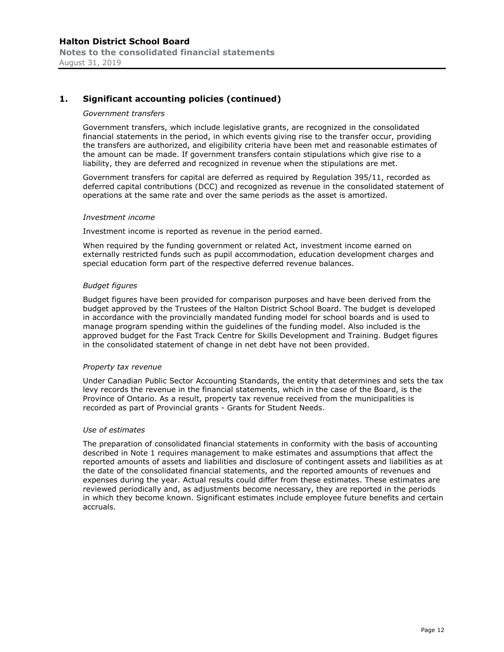#### *Government transfers*

Government transfers, which include legislative grants, are recognized in the consolidated financial statements in the period, in which events giving rise to the transfer occur, providing the transfers are authorized, and eligibility criteria have been met and reasonable estimates of the amount can be made. If government transfers contain stipulations which give rise to a liability, they are deferred and recognized in revenue when the stipulations are met.

Government transfers for capital are deferred as required by Regulation 395/11, recorded as deferred capital contributions (DCC) and recognized as revenue in the consolidated statement of operations at the same rate and over the same periods as the asset is amortized.

#### *Investment income*

Investment income is reported as revenue in the period earned.

When required by the funding government or related Act, investment income earned on externally restricted funds such as pupil accommodation, education development charges and special education form part of the respective deferred revenue balances.

#### *Budget figures*

Budget figures have been provided for comparison purposes and have been derived from the budget approved by the Trustees of the Halton District School Board. The budget is developed in accordance with the provincially mandated funding model for school boards and is used to manage program spending within the guidelines of the funding model. Also included is the approved budget for the Fast Track Centre for Skills Development and Training. Budget figures in the consolidated statement of change in net debt have not been provided.

#### *Property tax revenue*

Under Canadian Public Sector Accounting Standards, the entity that determines and sets the tax levy records the revenue in the financial statements, which in the case of the Board, is the Province of Ontario. As a result, property tax revenue received from the municipalities is recorded as part of Provincial grants - Grants for Student Needs.

#### *Use of estimates*

The preparation of consolidated financial statements in conformity with the basis of accounting described in Note 1 requires management to make estimates and assumptions that affect the reported amounts of assets and liabilities and disclosure of contingent assets and liabilities as at the date of the consolidated financial statements, and the reported amounts of revenues and expenses during the year. Actual results could differ from these estimates. These estimates are reviewed periodically and, as adjustments become necessary, they are reported in the periods in which they become known. Significant estimates include employee future benefits and certain accruals.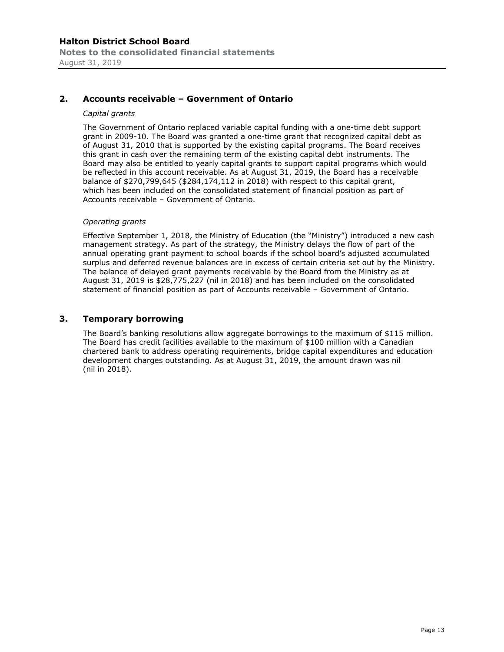# **2. Accounts receivable – Government of Ontario**

#### *Capital grants*

The Government of Ontario replaced variable capital funding with a one-time debt support grant in 2009-10. The Board was granted a one-time grant that recognized capital debt as of August 31, 2010 that is supported by the existing capital programs. The Board receives this grant in cash over the remaining term of the existing capital debt instruments. The Board may also be entitled to yearly capital grants to support capital programs which would be reflected in this account receivable. As at August 31, 2019, the Board has a receivable balance of \$270,799,645 (\$284,174,112 in 2018) with respect to this capital grant, which has been included on the consolidated statement of financial position as part of Accounts receivable – Government of Ontario.

#### *Operating grants*

Effective September 1, 2018, the Ministry of Education (the "Ministry") introduced a new cash management strategy. As part of the strategy, the Ministry delays the flow of part of the annual operating grant payment to school boards if the school board's adjusted accumulated surplus and deferred revenue balances are in excess of certain criteria set out by the Ministry. The balance of delayed grant payments receivable by the Board from the Ministry as at August 31, 2019 is \$28,775,227 (nil in 2018) and has been included on the consolidated statement of financial position as part of Accounts receivable – Government of Ontario.

# **3. Temporary borrowing**

The Board's banking resolutions allow aggregate borrowings to the maximum of \$115 million. The Board has credit facilities available to the maximum of \$100 million with a Canadian chartered bank to address operating requirements, bridge capital expenditures and education development charges outstanding. As at August 31, 2019, the amount drawn was nil (nil in 2018).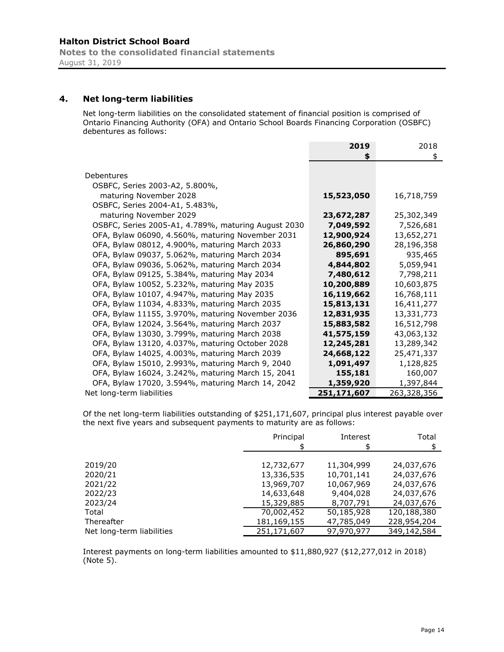**Notes to the consolidated financial statements**  August 31, 2019

# **4. Net long-term liabilities**

Net long-term liabilities on the consolidated statement of financial position is comprised of Ontario Financing Authority (OFA) and Ontario School Boards Financing Corporation (OSBFC) debentures as follows:

|                                                     | 2019<br>\$  | 2018<br>\$  |
|-----------------------------------------------------|-------------|-------------|
| Debentures                                          |             |             |
| OSBFC, Series 2003-A2, 5.800%,                      |             |             |
| maturing November 2028                              | 15,523,050  | 16,718,759  |
| OSBFC, Series 2004-A1, 5.483%,                      |             |             |
| maturing November 2029                              | 23,672,287  | 25,302,349  |
| OSBFC, Series 2005-A1, 4.789%, maturing August 2030 | 7,049,592   | 7,526,681   |
| OFA, Bylaw 06090, 4.560%, maturing November 2031    | 12,900,924  | 13,652,271  |
| OFA, Bylaw 08012, 4.900%, maturing March 2033       | 26,860,290  | 28,196,358  |
| OFA, Bylaw 09037, 5.062%, maturing March 2034       | 895,691     | 935,465     |
| OFA, Bylaw 09036, 5.062%, maturing March 2034       | 4,844,802   | 5,059,941   |
| OFA, Bylaw 09125, 5.384%, maturing May 2034         | 7,480,612   | 7,798,211   |
| OFA, Bylaw 10052, 5.232%, maturing May 2035         | 10,200,889  | 10,603,875  |
| OFA, Bylaw 10107, 4.947%, maturing May 2035         | 16,119,662  | 16,768,111  |
| OFA, Bylaw 11034, 4.833%, maturing March 2035       | 15,813,131  | 16,411,277  |
| OFA, Bylaw 11155, 3.970%, maturing November 2036    | 12,831,935  | 13,331,773  |
| OFA, Bylaw 12024, 3.564%, maturing March 2037       | 15,883,582  | 16,512,798  |
| OFA, Bylaw 13030, 3.799%, maturing March 2038       | 41,575,159  | 43,063,132  |
| OFA, Bylaw 13120, 4.037%, maturing October 2028     | 12,245,281  | 13,289,342  |
| OFA, Bylaw 14025, 4.003%, maturing March 2039       | 24,668,122  | 25,471,337  |
| OFA, Bylaw 15010, 2.993%, maturing March 9, 2040    | 1,091,497   | 1,128,825   |
| OFA, Bylaw 16024, 3.242%, maturing March 15, 2041   | 155,181     | 160,007     |
| OFA, Bylaw 17020, 3.594%, maturing March 14, 2042   | 1,359,920   | 1,397,844   |
| Net long-term liabilities                           | 251,171,607 | 263,328,356 |

Of the net long-term liabilities outstanding of \$251,171,607, principal plus interest payable over the next five years and subsequent payments to maturity are as follows:

|                           | Principal   | Interest   | Total       |
|---------------------------|-------------|------------|-------------|
|                           |             |            |             |
| 2019/20                   | 12,732,677  | 11,304,999 | 24,037,676  |
| 2020/21                   | 13,336,535  | 10,701,141 | 24,037,676  |
| 2021/22                   | 13,969,707  | 10,067,969 | 24,037,676  |
| 2022/23                   | 14,633,648  | 9,404,028  | 24,037,676  |
| 2023/24                   | 15,329,885  | 8,707,791  | 24,037,676  |
| Total                     | 70,002,452  | 50,185,928 | 120,188,380 |
| Thereafter                | 181,169,155 | 47,785,049 | 228,954,204 |
| Net long-term liabilities | 251,171,607 | 97,970,977 | 349,142,584 |

Interest payments on long-term liabilities amounted to \$11,880,927 (\$12,277,012 in 2018) (Note 5).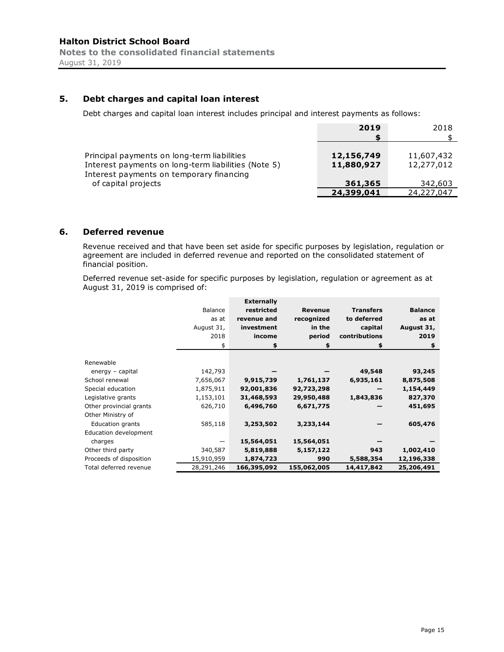# **5. Debt charges and capital loan interest**

Debt charges and capital loan interest includes principal and interest payments as follows:

|                                                                                                                                                | 2019                     | 2018                     |
|------------------------------------------------------------------------------------------------------------------------------------------------|--------------------------|--------------------------|
| Principal payments on long-term liabilities<br>Interest payments on long-term liabilities (Note 5)<br>Interest payments on temporary financing | 12,156,749<br>11,880,927 | 11,607,432<br>12,277,012 |
| of capital projects                                                                                                                            | 361,365                  | 342,603                  |
|                                                                                                                                                | 24,399,041               | 24,227,047               |

# **6. Deferred revenue**

Revenue received and that have been set aside for specific purposes by legislation, regulation or agreement are included in deferred revenue and reported on the consolidated statement of financial position.

Deferred revenue set-aside for specific purposes by legislation, regulation or agreement as at August 31, 2019 is comprised of:

|                         |            | <b>Externally</b> |                |                  |                |
|-------------------------|------------|-------------------|----------------|------------------|----------------|
|                         | Balance    | restricted        | <b>Revenue</b> | <b>Transfers</b> | <b>Balance</b> |
|                         | as at      | revenue and       | recognized     | to deferred      | as at          |
|                         | August 31, | investment        | in the         | capital          | August 31,     |
|                         | 2018       | income            | period         | contributions    | 2019           |
|                         | \$         | \$                | \$             | \$               | \$             |
|                         |            |                   |                |                  |                |
| Renewable               |            |                   |                |                  |                |
| energy - capital        | 142,793    |                   |                | 49,548           | 93,245         |
| School renewal          | 7,656,067  | 9,915,739         | 1,761,137      | 6,935,161        | 8,875,508      |
| Special education       | 1,875,911  | 92,001,836        | 92,723,298     |                  | 1,154,449      |
| Legislative grants      | 1,153,101  | 31,468,593        | 29,950,488     | 1,843,836        | 827,370        |
| Other provincial grants | 626,710    | 6,496,760         | 6,671,775      |                  | 451,695        |
| Other Ministry of       |            |                   |                |                  |                |
| <b>Education grants</b> | 585,118    | 3,253,502         | 3,233,144      |                  | 605,476        |
| Education development   |            |                   |                |                  |                |
| charges                 |            | 15,564,051        | 15,564,051     |                  |                |
| Other third party       | 340,587    | 5,819,888         | 5,157,122      | 943              | 1,002,410      |
| Proceeds of disposition | 15,910,959 | 1,874,723         | 990            | 5,588,354        | 12,196,338     |
| Total deferred revenue  | 28,291,246 | 166,395,092       | 155,062,005    | 14,417,842       | 25,206,491     |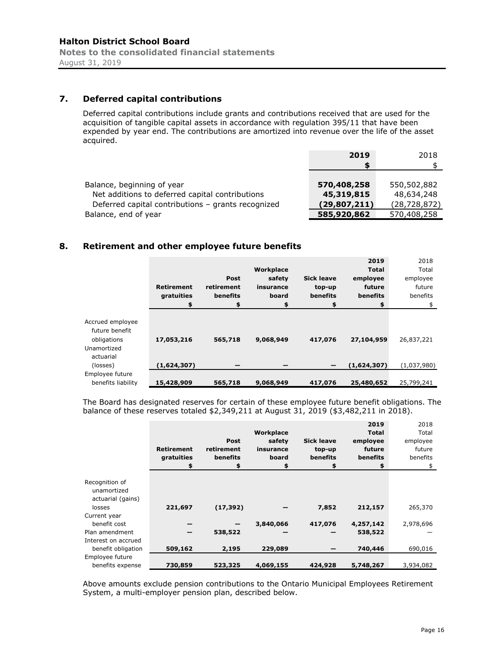# **7. Deferred capital contributions**

Deferred capital contributions include grants and contributions received that are used for the acquisition of tangible capital assets in accordance with regulation 395/11 that have been expended by year end. The contributions are amortized into revenue over the life of the asset acquired.

| 2019                                                                 | 2018           |
|----------------------------------------------------------------------|----------------|
|                                                                      |                |
|                                                                      |                |
| 570,408,258<br>Balance, beginning of year                            | 550,502,882    |
| Net additions to deferred capital contributions<br>45,319,815        | 48,634,248     |
| Deferred capital contributions - grants recognized<br>(29, 807, 211) | (28, 728, 872) |
| Balance, end of year<br>585,920,862                                  | 570,408,258    |

# **8. Retirement and other employee future benefits**

|                    |                   |            |           |                   | 2019         | 2018        |
|--------------------|-------------------|------------|-----------|-------------------|--------------|-------------|
|                    |                   |            | Workplace |                   | <b>Total</b> | Total       |
|                    |                   | Post       | safety    | <b>Sick leave</b> | employee     | employee    |
|                    | <b>Retirement</b> | retirement | insurance | top-up            | future       | future      |
|                    | gratuities        | benefits   | board     | benefits          | benefits     | benefits    |
|                    | \$                | \$         | \$        | \$                | \$           |             |
|                    |                   |            |           |                   |              |             |
| Accrued employee   |                   |            |           |                   |              |             |
| future benefit     |                   |            |           |                   |              |             |
| obligations        | 17,053,216        | 565,718    | 9,068,949 | 417,076           | 27,104,959   | 26,837,221  |
| Unamortized        |                   |            |           |                   |              |             |
| actuarial          |                   |            |           |                   |              |             |
| (losses)           | (1,624,307)       |            |           |                   | (1,624,307)  | (1,037,980) |
| Employee future    |                   |            |           |                   |              |             |
| benefits liability | 15,428,909        | 565,718    | 9,068,949 | 417,076           | 25,480,652   | 25,799,241  |

The Board has designated reserves for certain of these employee future benefit obligations. The balance of these reserves totaled \$2,349,211 at August 31, 2019 (\$3,482,211 in 2018).

|                     |                   |            |           |                   | 2019         | 2018      |
|---------------------|-------------------|------------|-----------|-------------------|--------------|-----------|
|                     |                   |            | Workplace |                   | <b>Total</b> | Total     |
|                     |                   | Post       | safety    | <b>Sick leave</b> | employee     | employee  |
|                     | <b>Retirement</b> | retirement | insurance | top-up            | future       | future    |
|                     | gratuities        | benefits   | board     | benefits          | benefits     | benefits  |
|                     | \$                | \$         |           |                   | \$           | \$        |
|                     |                   |            |           |                   |              |           |
| Recognition of      |                   |            |           |                   |              |           |
| unamortized         |                   |            |           |                   |              |           |
| actuarial (gains)   |                   |            |           |                   |              |           |
| losses              | 221,697           | (17, 392)  |           | 7,852             | 212,157      | 265,370   |
| Current year        |                   |            |           |                   |              |           |
| benefit cost        |                   |            | 3,840,066 | 417,076           | 4,257,142    | 2,978,696 |
| Plan amendment      |                   | 538,522    |           |                   | 538,522      |           |
| Interest on accrued |                   |            |           |                   |              |           |
| benefit obligation  | 509,162           | 2,195      | 229,089   |                   | 740,446      | 690,016   |
| Employee future     |                   |            |           |                   |              |           |
| benefits expense    | 730,859           | 523,325    | 4,069,155 | 424,928           | 5,748,267    | 3,934,082 |

Above amounts exclude pension contributions to the Ontario Municipal Employees Retirement System, a multi-employer pension plan, described below.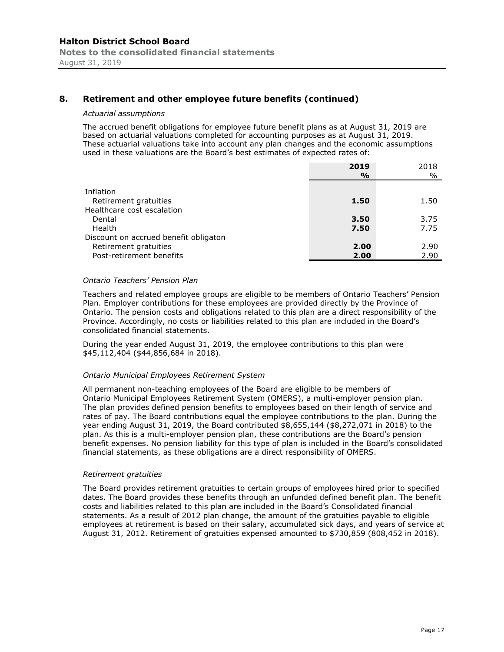# **8. Retirement and other employee future benefits (continued)**

#### *Actuarial assumptions*

The accrued benefit obligations for employee future benefit plans as at August 31, 2019 are based on actuarial valuations completed for accounting purposes as at August 31, 2019. These actuarial valuations take into account any plan changes and the economic assumptions used in these valuations are the Board's best estimates of expected rates of:

|                                       | 2019<br>$\frac{6}{6}$ | 2018<br>$\frac{0}{0}$ |
|---------------------------------------|-----------------------|-----------------------|
| Inflation                             |                       |                       |
| Retirement gratuities                 | 1.50                  | 1.50                  |
| Healthcare cost escalation            |                       |                       |
| Dental                                | 3.50                  | 3.75                  |
| Health                                | 7.50                  | 7.75                  |
| Discount on accrued benefit obligaton |                       |                       |
| Retirement gratuities                 | 2.00                  | 2.90                  |
| Post-retirement benefits              | 2.00                  | 2.90                  |

#### *Ontario Teachers' Pension Plan*

Teachers and related employee groups are eligible to be members of Ontario Teachers' Pension Plan. Employer contributions for these employees are provided directly by the Province of Ontario. The pension costs and obligations related to this plan are a direct responsibility of the Province. Accordingly, no costs or liabilities related to this plan are included in the Board's consolidated financial statements.

During the year ended August 31, 2019, the employee contributions to this plan were \$45,112,404 (\$44,856,684 in 2018).

#### *Ontario Municipal Employees Retirement System*

All permanent non-teaching employees of the Board are eligible to be members of Ontario Municipal Employees Retirement System (OMERS), a multi-employer pension plan. The plan provides defined pension benefits to employees based on their length of service and rates of pay. The Board contributions equal the employee contributions to the plan. During the year ending August 31, 2019, the Board contributed \$8,655,144 (\$8,272,071 in 2018) to the plan. As this is a multi-employer pension plan, these contributions are the Board's pension benefit expenses. No pension liability for this type of plan is included in the Board's consolidated financial statements, as these obligations are a direct responsibility of OMERS.

#### *Retirement gratuities*

The Board provides retirement gratuities to certain groups of employees hired prior to specified dates. The Board provides these benefits through an unfunded defined benefit plan. The benefit costs and liabilities related to this plan are included in the Board's Consolidated financial statements. As a result of 2012 plan change, the amount of the gratuities payable to eligible employees at retirement is based on their salary, accumulated sick days, and years of service at August 31, 2012. Retirement of gratuities expensed amounted to \$730,859 (808,452 in 2018).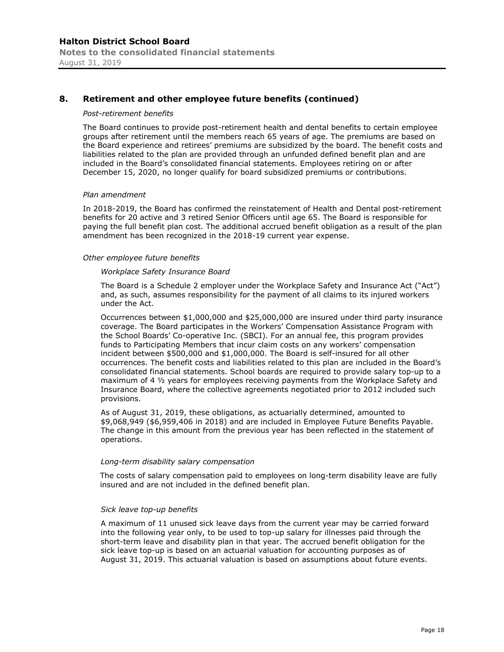# **8. Retirement and other employee future benefits (continued)**

#### *Post-retirement benefits*

The Board continues to provide post-retirement health and dental benefits to certain employee groups after retirement until the members reach 65 years of age. The premiums are based on the Board experience and retirees' premiums are subsidized by the board. The benefit costs and liabilities related to the plan are provided through an unfunded defined benefit plan and are included in the Board's consolidated financial statements. Employees retiring on or after December 15, 2020, no longer qualify for board subsidized premiums or contributions.

#### *Plan amendment*

In 2018-2019, the Board has confirmed the reinstatement of Health and Dental post-retirement benefits for 20 active and 3 retired Senior Officers until age 65. The Board is responsible for paying the full benefit plan cost. The additional accrued benefit obligation as a result of the plan amendment has been recognized in the 2018-19 current year expense.

#### *Other employee future benefits*

#### *Workplace Safety Insurance Board*

The Board is a Schedule 2 employer under the Workplace Safety and Insurance Act ("Act") and, as such, assumes responsibility for the payment of all claims to its injured workers under the Act.

Occurrences between \$1,000,000 and \$25,000,000 are insured under third party insurance coverage. The Board participates in the Workers' Compensation Assistance Program with the School Boards' Co-operative Inc. (SBCI). For an annual fee, this program provides funds to Participating Members that incur claim costs on any workers' compensation incident between \$500,000 and \$1,000,000. The Board is self-insured for all other occurrences. The benefit costs and liabilities related to this plan are included in the Board's consolidated financial statements. School boards are required to provide salary top-up to a maximum of 4 ½ years for employees receiving payments from the Workplace Safety and Insurance Board, where the collective agreements negotiated prior to 2012 included such provisions.

As of August 31, 2019, these obligations, as actuarially determined, amounted to \$9,068,949 (\$6,959,406 in 2018) and are included in Employee Future Benefits Payable. The change in this amount from the previous year has been reflected in the statement of operations.

#### *Long-term disability salary compensation*

The costs of salary compensation paid to employees on long-term disability leave are fully insured and are not included in the defined benefit plan.

#### *Sick leave top-up benefits*

A maximum of 11 unused sick leave days from the current year may be carried forward into the following year only, to be used to top-up salary for illnesses paid through the short-term leave and disability plan in that year. The accrued benefit obligation for the sick leave top-up is based on an actuarial valuation for accounting purposes as of August 31, 2019. This actuarial valuation is based on assumptions about future events.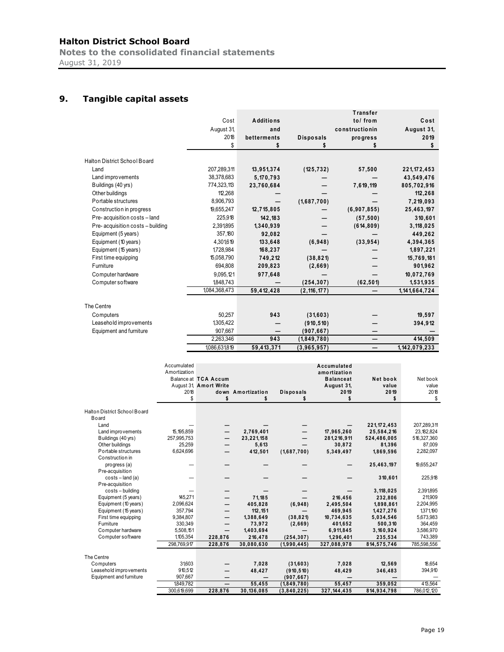**Notes to the consolidated financial statements**  August 31, 2019

# **9. Tangible capital assets**

|                                           |                          |                             |                      |                        |                         | Transfer               |                        |
|-------------------------------------------|--------------------------|-----------------------------|----------------------|------------------------|-------------------------|------------------------|------------------------|
|                                           |                          | Cost                        | <b>Additions</b>     |                        |                         | to/from                | Cost                   |
|                                           |                          | August 31,                  | and                  |                        |                         | constructionin         | August 31,             |
|                                           |                          | 2018                        | betterments          | <b>Disposals</b>       |                         | progress               | 2019                   |
|                                           |                          | \$                          | \$                   |                        | \$                      | \$                     | \$                     |
|                                           |                          |                             |                      |                        |                         |                        |                        |
| Halton District School Board              |                          |                             |                      |                        |                         |                        |                        |
|                                           |                          |                             |                      |                        |                         |                        |                        |
| Land                                      |                          | 207,289,311                 | 13,951,374           |                        | (125, 732)              | 57,500                 | 221, 172, 453          |
| Land improvements                         |                          | 38,378,683                  | 5,170,793            |                        |                         |                        | 43,549,476             |
| Buildings (40 yrs)                        |                          | 774,323,113                 | 23,760,684           |                        |                         | 7,619,119              | 805,702,916            |
| Other buildings                           |                          | 112.268                     |                      |                        |                         |                        | 112,268                |
| Portable structures                       |                          | 8,906,793                   |                      | (1,687,700)            |                         |                        | 7,219,093              |
| Construction in progress                  |                          | 19,655,247                  | 12,715,805           |                        |                         | (6,907,855)            | 25,463,197             |
| Pre-acquisition costs-land                |                          | 225,918                     | 142,183              |                        |                         | (57, 500)              | 310,601                |
| Pre-acquisition costs - building          |                          | 2,391,895                   | 1,340,939            |                        |                         | (614, 809)             | 3,118,025              |
| Equipment (5 years)                       |                          | 357,180                     | 92,082               |                        |                         |                        | 449,262                |
| Equipment (10 years)                      |                          | 4,301,619                   | 133,648              |                        | (6,948)                 | (33, 954)              | 4,394,365              |
|                                           |                          |                             |                      |                        |                         |                        |                        |
| Equipment (15 years)                      |                          | 1,728,984                   | 168,237              |                        |                         |                        | 1,897,221              |
| First time equipping                      |                          | 15,058,790                  | 749,212              |                        | (38, 821)               |                        | 15,769,181             |
| Furniture                                 |                          | 694,808                     | 209,823              |                        | (2,669)                 |                        | 901,962                |
| Computer hardware                         |                          | 9,095,121                   | 977,648              |                        |                         |                        | 10,072,769             |
| Computer software                         |                          | 1848.743                    |                      |                        | (254, 307)              | (62, 501)              | 1,531,935              |
|                                           |                          | 1,084,368,473               | 59,412,428           | (2, 116, 177)          |                         |                        | 1, 141, 664, 724       |
|                                           |                          |                             |                      |                        |                         |                        |                        |
| The Centre                                |                          |                             |                      |                        |                         |                        |                        |
| Computers                                 |                          | 50,257                      | 943                  |                        | (31, 603)               |                        | 19,597                 |
| Leasehold improvements                    |                          | 1,305,422                   |                      |                        | (910, 510)              |                        | 394,912                |
|                                           |                          |                             |                      |                        |                         |                        |                        |
| Equipment and furniture                   |                          | 907,667                     |                      |                        | (907, 667)              |                        |                        |
|                                           |                          | 2,263,346                   | 943                  | (1,849,780)            |                         | —                      | 414,509                |
|                                           |                          | 1,086,631,819               | 59,413,371           | (3,965,957)            |                         |                        | 1,142,079,233          |
|                                           |                          |                             |                      |                        |                         |                        |                        |
|                                           |                          |                             |                      |                        |                         |                        |                        |
|                                           | Accumulated              |                             |                      |                        | Accumulated             |                        |                        |
|                                           | Amortization             |                             |                      |                        | amortization            |                        |                        |
|                                           |                          | Balance at <b>TCA Accum</b> |                      |                        | <b>Balanceat</b>        | Net book               | Net book               |
|                                           |                          | August 31, Amort Write      |                      |                        | August 31,              | value                  | value                  |
|                                           | 2018                     |                             | down Amortization    | <b>Disposals</b>       | 2019                    | 2019                   | 2018                   |
|                                           | \$                       | \$                          | \$                   | \$                     | \$                      | \$                     | \$                     |
|                                           |                          |                             |                      |                        |                         |                        |                        |
| Halton District School Board<br>Board     |                          |                             |                      |                        |                         |                        |                        |
| Land                                      |                          |                             |                      |                        |                         | 221, 172, 453          | 207,289,311            |
| Land improvements                         | 15.195.859               |                             | 2,769,401            |                        | 17,965,260              | 25,584,216             | 23,182,824             |
| Buildings (40 yrs)                        | 257,995,753              |                             | 23,221,158           |                        | 281,216,911             | 524,486,005            | 516,327,360            |
| Other buildings                           | 25,259                   |                             | 5,613                |                        | 30,872                  | 81,396                 | 87,009                 |
| Portable structures                       | 6,624,696                |                             | 412,501              | (1,687,700)            | 5,349,497               | 1,869,596              | 2,282,097              |
| Construction in                           |                          |                             |                      |                        |                         |                        |                        |
| progress (a)                              |                          |                             |                      |                        |                         | 25,463,197             | 19,655,247             |
| Pre-acquisition                           |                          |                             |                      |                        |                         |                        |                        |
| costs - land (a)                          |                          |                             |                      |                        |                         | 310,601                | 225,918                |
| Pre-acquisition                           |                          |                             |                      |                        |                         |                        | 2,391,895              |
| $costs - building$<br>Equipment (5 years) | 145,271                  |                             | 71,185               |                        | 216,456                 | 3,118,025<br>232,806   | 211,909                |
| Equipment (10 years)                      | 2,096,624                |                             | 405,828              | (6,948)                | 2,495,504               | 1,898,861              | 2,204,995              |
| Equipment (15 years)                      | 357,794                  | -                           | 112, 151             |                        | 469,945                 | 1,427,276              | 1,371,190              |
| First time equipping                      | 9,384,807                | —                           | 1,388,649            | (38, 821)              | 10,734,635              | 5,034,546              | 5,673,983              |
| Furniture                                 | 330,349                  |                             | 73,972               | (2,669)                | 401,652                 | 500,310                | 364,459                |
| Computer hardware                         | 5,508,151                |                             | 1,403,694            |                        | 6,911,845               | 3,160,924              | 3,586,970              |
| Computer software                         | 1,105,354                | 228,876                     | 216,478              | (254, 307)             | 1,296,401               | 235,534                | 743,389                |
|                                           | 298,769,917              | 228,876                     | 30,080,630           | (1,990,445)            | 327,088,978             | 814,575,746            | 785,598,556            |
|                                           |                          |                             |                      |                        |                         |                        |                        |
| The Centre                                |                          |                             |                      |                        |                         |                        |                        |
| Computers<br>Leasehold improvements       | 31,603<br>910,512        |                             | 7,028<br>48,427      | (31,603)<br>(910, 510) | 7,028<br>48,429         | 12,569<br>346,483      | 18,654<br>394,910      |
| Equipment and furniture                   | 907,667                  |                             |                      | (907, 667)             |                         |                        |                        |
|                                           | 1,849,782<br>300,619,699 | 228,876                     | 55,455<br>30,136,085 | (1,849,780)            | 55,457<br>327, 144, 435 | 359,052<br>814,934,798 | 413,564<br>786,012,120 |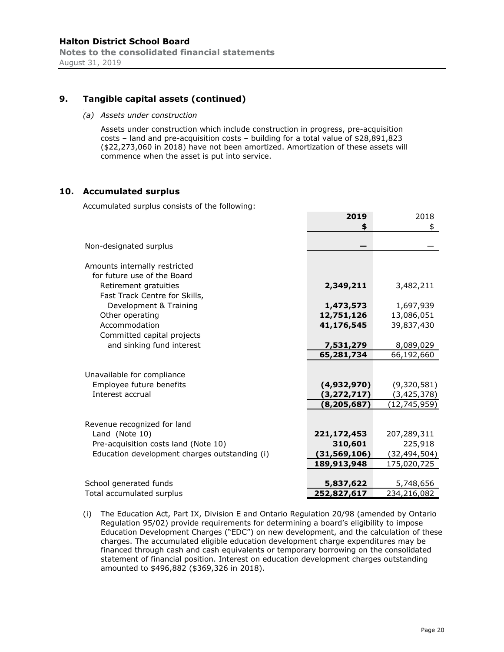# **9. Tangible capital assets (continued)**

*(a) Assets under construction* 

Assets under construction which include construction in progress, pre-acquisition costs – land and pre-acquisition costs – building for a total value of \$28,891,823 (\$22,273,060 in 2018) have not been amortized. Amortization of these assets will commence when the asset is put into service.

# **10. Accumulated surplus**

Accumulated surplus consists of the following:

|                                                        | 2019<br>\$             | 2018<br>\$             |
|--------------------------------------------------------|------------------------|------------------------|
| Non-designated surplus                                 |                        |                        |
| Amounts internally restricted                          |                        |                        |
| for future use of the Board                            |                        |                        |
| Retirement gratuities<br>Fast Track Centre for Skills, | 2,349,211              | 3,482,211              |
| Development & Training                                 | 1,473,573              | 1,697,939              |
| Other operating                                        | 12,751,126             | 13,086,051             |
| Accommodation                                          | 41,176,545             | 39,837,430             |
| Committed capital projects                             |                        |                        |
| and sinking fund interest                              | 7,531,279              | 8,089,029              |
|                                                        | 65,281,734             | 66,192,660             |
| Unavailable for compliance                             |                        |                        |
| Employee future benefits                               | (4,932,970)            | (9,320,581)            |
| Interest accrual                                       | (3,272,717)            | (3, 425, 378)          |
|                                                        | (8, 205, 687)          | (12, 745, 959)         |
|                                                        |                        |                        |
| Revenue recognized for land                            |                        |                        |
| Land (Note 10)<br>Pre-acquisition costs land (Note 10) | 221,172,453<br>310,601 | 207,289,311<br>225,918 |
| Education development charges outstanding (i)          | (31, 569, 106)         | (32, 494, 504)         |
|                                                        | 189,913,948            | 175,020,725            |
|                                                        |                        |                        |
| School generated funds                                 | 5,837,622              | 5,748,656              |
| Total accumulated surplus                              | 252,827,617            | 234,216,082            |

(i) The Education Act, Part IX, Division E and Ontario Regulation 20/98 (amended by Ontario Regulation 95/02) provide requirements for determining a board's eligibility to impose Education Development Charges ("EDC") on new development, and the calculation of these charges. The accumulated eligible education development charge expenditures may be financed through cash and cash equivalents or temporary borrowing on the consolidated statement of financial position. Interest on education development charges outstanding amounted to \$496,882 (\$369,326 in 2018).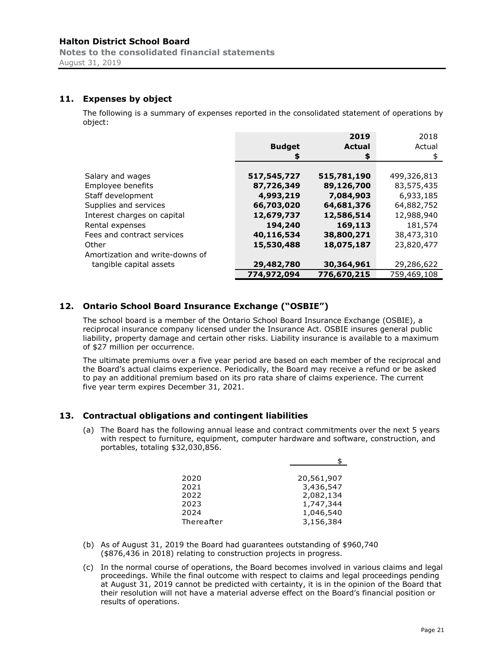# **11. Expenses by object**

The following is a summary of expenses reported in the consolidated statement of operations by object:

|                                 |               | 2019          | 2018        |
|---------------------------------|---------------|---------------|-------------|
|                                 | <b>Budget</b> | <b>Actual</b> | Actual      |
|                                 | \$            | \$            | \$          |
|                                 |               |               |             |
| Salary and wages                | 517,545,727   | 515,781,190   | 499,326,813 |
| Employee benefits               | 87,726,349    | 89,126,700    | 83,575,435  |
| Staff development               | 4,993,219     | 7,084,903     | 6,933,185   |
| Supplies and services           | 66,703,020    | 64,681,376    | 64,882,752  |
| Interest charges on capital     | 12,679,737    | 12,586,514    | 12,988,940  |
| Rental expenses                 | 194,240       | 169,113       | 181,574     |
| Fees and contract services      | 40,116,534    | 38,800,271    | 38,473,310  |
| Other                           | 15,530,488    | 18,075,187    | 23,820,477  |
| Amortization and write-downs of |               |               |             |
| tangible capital assets         | 29,482,780    | 30,364,961    | 29,286,622  |
|                                 | 774,972,094   | 776,670,215   | 759,469,108 |

# **12. Ontario School Board Insurance Exchange ("OSBIE")**

The school board is a member of the Ontario School Board Insurance Exchange (OSBIE), a reciprocal insurance company licensed under the Insurance Act. OSBIE insures general public liability, property damage and certain other risks. Liability insurance is available to a maximum of \$27 million per occurrence.

The ultimate premiums over a five year period are based on each member of the reciprocal and the Board's actual claims experience. Periodically, the Board may receive a refund or be asked to pay an additional premium based on its pro rata share of claims experience. The current five year term expires December 31, 2021.

# **13. Contractual obligations and contingent liabilities**

(a) The Board has the following annual lease and contract commitments over the next 5 years with respect to furniture, equipment, computer hardware and software, construction, and portables, totaling \$32,030,856.

| 2020       | 20,561,907 |
|------------|------------|
| 2021       | 3,436,547  |
| 2022       | 2,082,134  |
| 2023       | 1,747,344  |
| 2024       | 1,046,540  |
| Thereafter | 3,156,384  |

- (b) As of August 31, 2019 the Board had guarantees outstanding of \$960,740 (\$876,436 in 2018) relating to construction projects in progress.
- (c) In the normal course of operations, the Board becomes involved in various claims and legal proceedings. While the final outcome with respect to claims and legal proceedings pending at August 31, 2019 cannot be predicted with certainty, it is in the opinion of the Board that their resolution will not have a material adverse effect on the Board's financial position or results of operations.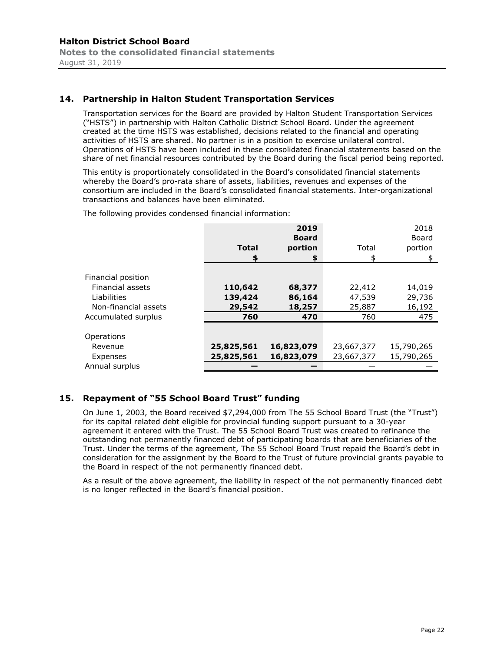# **14. Partnership in Halton Student Transportation Services**

Transportation services for the Board are provided by Halton Student Transportation Services ("HSTS") in partnership with Halton Catholic District School Board. Under the agreement created at the time HSTS was established, decisions related to the financial and operating activities of HSTS are shared. No partner is in a position to exercise unilateral control. Operations of HSTS have been included in these consolidated financial statements based on the share of net financial resources contributed by the Board during the fiscal period being reported.

This entity is proportionately consolidated in the Board's consolidated financial statements whereby the Board's pro-rata share of assets, liabilities, revenues and expenses of the consortium are included in the Board's consolidated financial statements. Inter-organizational transactions and balances have been eliminated.

The following provides condensed financial information:

|                                 |                    | 2019<br><b>Board</b> |                  | 2018<br>Board    |
|---------------------------------|--------------------|----------------------|------------------|------------------|
|                                 | <b>Total</b>       | portion              | Total            | portion          |
|                                 | \$                 | \$                   | \$               | \$               |
| Financial position              |                    |                      |                  |                  |
| Financial assets<br>Liabilities | 110,642<br>139,424 | 68,377<br>86,164     | 22,412<br>47,539 | 14,019<br>29,736 |
| Non-financial assets            | 29,542             | 18,257               | 25,887           | 16,192           |
| Accumulated surplus             | 760                | 470                  | 760              | 475              |
| Operations                      |                    |                      |                  |                  |
| Revenue                         | 25,825,561         | 16,823,079           | 23,667,377       | 15,790,265       |
| Expenses                        | 25,825,561         | 16,823,079           | 23,667,377       | 15,790,265       |
| Annual surplus                  |                    |                      |                  |                  |

# **15. Repayment of "55 School Board Trust" funding**

On June 1, 2003, the Board received \$7,294,000 from The 55 School Board Trust (the "Trust") for its capital related debt eligible for provincial funding support pursuant to a 30-year agreement it entered with the Trust. The 55 School Board Trust was created to refinance the outstanding not permanently financed debt of participating boards that are beneficiaries of the Trust. Under the terms of the agreement, The 55 School Board Trust repaid the Board's debt in consideration for the assignment by the Board to the Trust of future provincial grants payable to the Board in respect of the not permanently financed debt.

As a result of the above agreement, the liability in respect of the not permanently financed debt is no longer reflected in the Board's financial position.